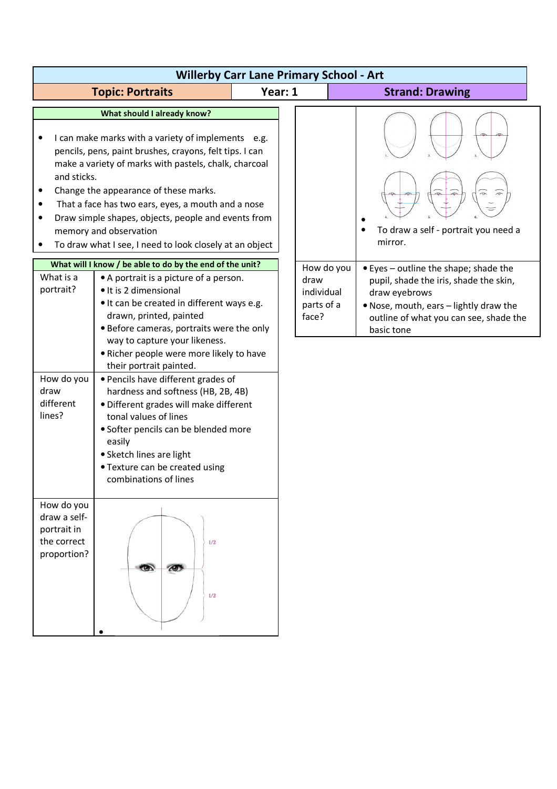| <b>Willerby Carr Lane Primary School - Art</b>                                                                                      |                                                                                                                                                                                                                                                                                                                                                                                                                                                                                                                                                                                                                                                                                                                                                                                                                                                                                                                                                              |         |                                                         |                                                                                                                                                                                                                                                       |  |
|-------------------------------------------------------------------------------------------------------------------------------------|--------------------------------------------------------------------------------------------------------------------------------------------------------------------------------------------------------------------------------------------------------------------------------------------------------------------------------------------------------------------------------------------------------------------------------------------------------------------------------------------------------------------------------------------------------------------------------------------------------------------------------------------------------------------------------------------------------------------------------------------------------------------------------------------------------------------------------------------------------------------------------------------------------------------------------------------------------------|---------|---------------------------------------------------------|-------------------------------------------------------------------------------------------------------------------------------------------------------------------------------------------------------------------------------------------------------|--|
|                                                                                                                                     | <b>Topic: Portraits</b>                                                                                                                                                                                                                                                                                                                                                                                                                                                                                                                                                                                                                                                                                                                                                                                                                                                                                                                                      | Year: 1 |                                                         | <b>Strand: Drawing</b>                                                                                                                                                                                                                                |  |
| $\bullet$<br>and sticks.<br>٠<br>٠<br>$\bullet$<br>$\bullet$<br>What is a<br>portrait?<br>How do you<br>draw<br>different<br>lines? | What should I already know?<br>I can make marks with a variety of implements e.g.<br>pencils, pens, paint brushes, crayons, felt tips. I can<br>make a variety of marks with pastels, chalk, charcoal<br>Change the appearance of these marks.<br>That a face has two ears, eyes, a mouth and a nose<br>Draw simple shapes, objects, people and events from<br>memory and observation<br>To draw what I see, I need to look closely at an object<br>What will I know / be able to do by the end of the unit?<br>• A portrait is a picture of a person.<br>· It is 2 dimensional<br>• It can be created in different ways e.g.<br>drawn, printed, painted<br>• Before cameras, portraits were the only<br>way to capture your likeness.<br>. Richer people were more likely to have<br>their portrait painted.<br>• Pencils have different grades of<br>hardness and softness (HB, 2B, 4B)<br>· Different grades will make different<br>tonal values of lines |         | How do you<br>draw<br>individual<br>parts of a<br>face? | To draw a self - portrait you need a<br>mirror.<br>• Eyes - outline the shape; shade the<br>pupil, shade the iris, shade the skin,<br>draw eyebrows<br>. Nose, mouth, ears - lightly draw the<br>outline of what you can see, shade the<br>basic tone |  |
| How do you<br>draw a self-<br>portrait in<br>the correct<br>proportion?                                                             | • Softer pencils can be blended more<br>easily<br>• Sketch lines are light<br>• Texture can be created using<br>combinations of lines<br>1/2<br>$\bullet$<br>$\triangle$<br>1/2                                                                                                                                                                                                                                                                                                                                                                                                                                                                                                                                                                                                                                                                                                                                                                              |         |                                                         |                                                                                                                                                                                                                                                       |  |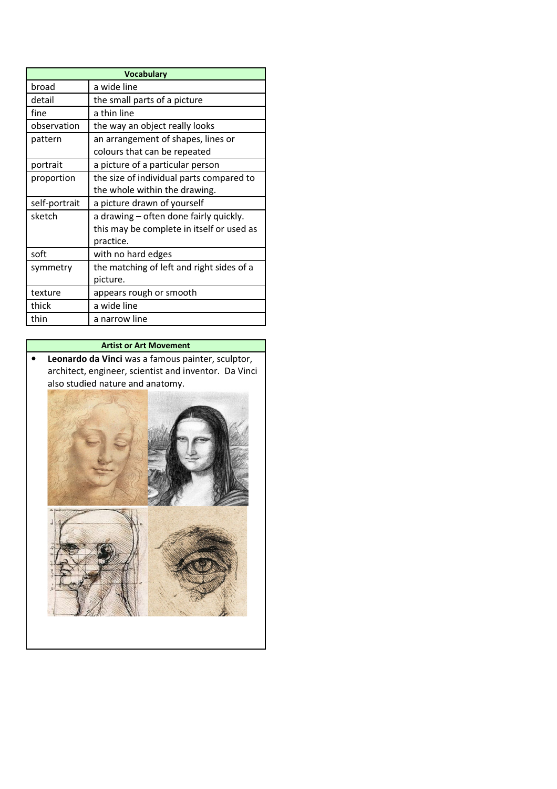| <b>Vocabulary</b> |                                                                                                  |  |  |  |
|-------------------|--------------------------------------------------------------------------------------------------|--|--|--|
| broad             | a wide line                                                                                      |  |  |  |
| detail            | the small parts of a picture                                                                     |  |  |  |
| fine              | a thin line                                                                                      |  |  |  |
| observation       | the way an object really looks                                                                   |  |  |  |
| pattern           | an arrangement of shapes, lines or<br>colours that can be repeated                               |  |  |  |
| portrait          | a picture of a particular person                                                                 |  |  |  |
| proportion        | the size of individual parts compared to<br>the whole within the drawing.                        |  |  |  |
|                   |                                                                                                  |  |  |  |
| self-portrait     | a picture drawn of yourself                                                                      |  |  |  |
| sketch            | a drawing – often done fairly quickly.<br>this may be complete in itself or used as<br>practice. |  |  |  |
| soft              | with no hard edges                                                                               |  |  |  |
| symmetry          | the matching of left and right sides of a<br>picture.                                            |  |  |  |
| texture           | appears rough or smooth                                                                          |  |  |  |
| thick             | a wide line                                                                                      |  |  |  |

## **Artist or Art Movement**

• **Leonardo da Vinci** was a famous painter, sculptor, architect, engineer, scientist and inventor. Da Vinci also studied nature and anatomy.